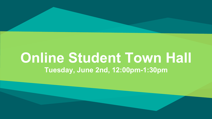### **Online Student Town Hall Tuesday, June 2nd, 12:00pm-1:30pm**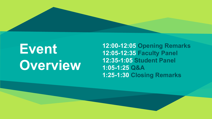## **Event Overview**

**12:00-12:05 Opening Remarks 12:05-12:35 Faculty Panel 12:35-1:05 Student Panel 1:05-1:25 Q&A 1:25-1:30 Closing Remarks**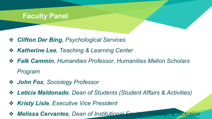#### **Faculty Panel**

- ❖ *Clifton Der Bing, Psychological Services*
- ❖ *Katherine Lee, Teaching & Learning Center*
- ❖ *Falk Cammin, Humanities Professor, Humanities Mellon Scholars Program*
- ❖ *John Fox, Sociology Professor*
- ❖ *Leticia Maldonado, Dean of Students (Student Affairs & Activities)*
- ❖ *Kristy Lisle, Executive Vice President*
- ❖ *Melissa Cervantes, Dean of Institutional Equity, Diversity, & Inclusion*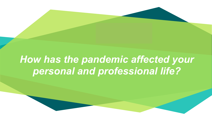#### *How has the pandemic affected your personal and professional life?*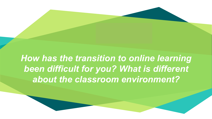*How has the transition to online learning been difficult for you? What is different about the classroom environment?*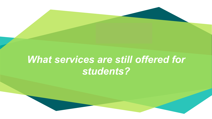#### *What services are still offered for students?*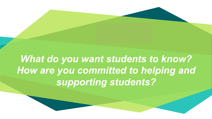*What do you want students to know? How are you committed to helping and supporting students?*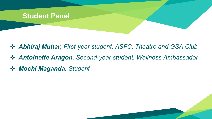

- ❖ *Abhiraj Muhar, First-year student, ASFC, Theatre and GSA Club*
- ❖ *Antoinette Aragon, Second-year student, Wellness Ambassador*
- ❖ *Mochi Maganda, Student*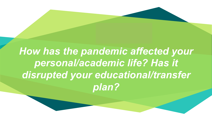**"** *How has the pandemic affected your personal/academic life? Has it disrupted your educational/transfer plan?*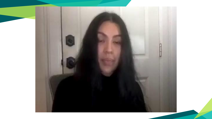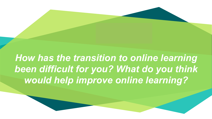*How has the transition to online learning been difficult for you? What do you think would help improve online learning?*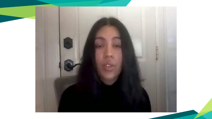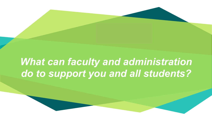## *What can faculty and administration do to support you and all students?*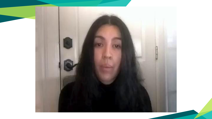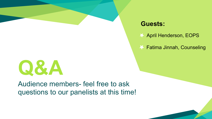#### **Guests:**

April Henderson, EOPS

 $\blacktriangleright$  Fatima Jinnah, Counseling



Audience members- feel free to ask questions to our panelists at this time!